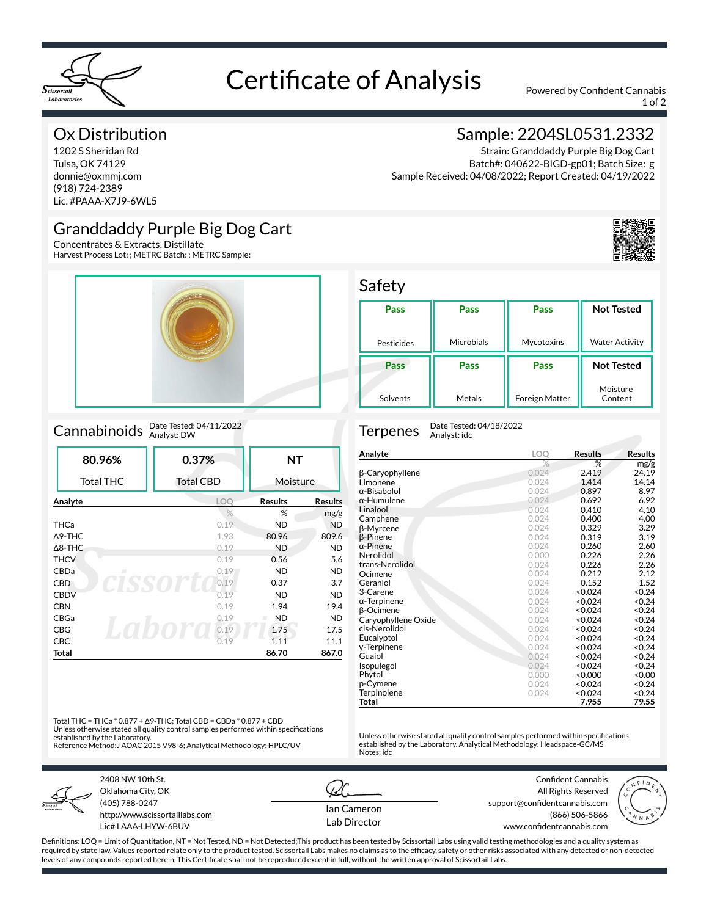

# Certificate of Analysis Powered by Confident Cannabis

1 of 2

### Ox Distribution

1202 S Sheridan Rd Tulsa, OK 74129 donnie@oxmmj.com (918) 724-2389 Lic. #PAAA-X7J9-6WL5

### Granddaddy Purple Big Dog Cart

Concentrates & Extracts, Distillate Harvest Process Lot: ; METRC Batch: ; METRC Sample:



### Cannabinoids Date Tested: 04/11/2022

| 80.96%            | 0.37%            | <b>NT</b>      |                |
|-------------------|------------------|----------------|----------------|
| Total THC         | <b>Total CBD</b> | Moisture       |                |
| Analyte           | LOO              | <b>Results</b> | <b>Results</b> |
|                   | $\frac{0}{0}$    | %              | mg/g           |
| <b>THCa</b>       | 0.19             | <b>ND</b>      | <b>ND</b>      |
| $\triangle$ 9-THC | 1.93             | 80.96          | 809.6          |
| $\triangle$ 8-THC | 0.19             | <b>ND</b>      | <b>ND</b>      |
| <b>THCV</b>       | 0.19             | 0.56           | 5.6            |
| CBDa<br>п         | 0.19             | ND.            | <b>ND</b>      |
| <b>CBD</b>        | 0.19             | 0.37           | 3.7            |
| <b>CBDV</b>       | 0.19             | <b>ND</b>      | <b>ND</b>      |
| <b>CBN</b>        | 0.19             | 1.94           | 19.4           |
| CBGa              | 0.19             | <b>ND</b>      | <b>ND</b>      |
| <b>CBG</b>        | 0.19             | 1.75           | 17.5           |
| <b>CBC</b>        | 0.19             | 1.11           | 11.1           |
| Total             |                  | 86.70          | 867.0          |

### Sample: 2204SL0531.2332

Strain: Granddaddy Purple Big Dog Cart Batch#: 040622-BIGD-gp01; Batch Size: g Sample Received: 04/08/2022; Report Created: 04/19/2022



| Pass       | Pass       | Pass       | <b>Not Tested</b>     |
|------------|------------|------------|-----------------------|
| Pesticides | Microbials | Mycotoxins | <b>Water Activity</b> |
|            |            |            |                       |
| Pass       | Pass       | Pass       | <b>Not Tested</b>     |

Safety

Terpenes Date Tested: 04/18/2022 Analyst: idc

| Analyte             | <b>LOO</b>    | <b>Results</b> | <b>Results</b>    |
|---------------------|---------------|----------------|-------------------|
|                     | $\frac{9}{6}$ | %              | mg/g              |
| β-Caryophyllene     | 0.024         | 2.419          | 24.19             |
| Limonene            | 0.024         | 1.414          | 14.14             |
| α-Bisabolol         | 0.024         | 0.897          | 8.97              |
| $\alpha$ -Humulene  | 0.024         | 0.692          | 6.92              |
| Linalool            | 0.024         | 0.410          | 4.10              |
| Camphene            | 0.024         | 0.400          | 4.00              |
| β-Myrcene           | 0.024         | 0.329          | 3.29              |
| <b>B-Pinene</b>     | 0.024         | 0.319          | 3.19              |
| $\alpha$ -Pinene    | 0.024         | 0.260          | 2.60              |
| Nerolidol           | 0.000         | 0.226          | 2.26              |
| trans-Nerolidol     | 0.024         | 0.226          | 2.26              |
| Ocimene             | 0.024         | 0.212          | 2.12              |
| Geraniol            | 0.024         | 0.152          | 1.52              |
| 3-Carene            | 0.024         | < 0.024        | < 0.24            |
| $\alpha$ -Terpinene | 0.024         | < 0.024        | < 0.24            |
| <b>B-Ocimene</b>    | 0.024         | < 0.024        | < 0.24            |
| Caryophyllene Oxide | 0.024         | < 0.024        | < 0.24            |
| cis-Nerolidol       | 0.024         | < 0.024        | < 0.24            |
| Eucalyptol          | 0.024         | < 0.024        | < 0.24            |
| y-Terpinene         | 0.024         | < 0.024        | < 0.24            |
| Guaiol              | 0.024         | < 0.024        | < 0.24            |
| Isopulegol          | 0.024         | < 0.024        | < 0.24            |
| Phytol              | 0.000         | < 0.000        | 0.00 <sub>2</sub> |
| p-Cymene            | 0.024         | < 0.024        | < 0.24            |
| Terpinolene         | 0.024         | < 0.024        | < 0.24            |
| Total               |               | 7.955          | 79.55             |

Unless otherwise stated all quality control samples performed within specifications established by the Laboratory. Analytical Methodology: Headspace-GC/MS

Total THC = THCa \* 0.877 + Δ9-THC; Total CBD = CBDa \* 0.877 + CBD Unless otherwise stated all quality control samples performed within specifications established by the Laboratory. Reference Method:J AOAC 2015 V98-6; Analytical Methodology: HPLC/UV



2408 NW 10th St. Oklahoma City, OK (405) 788-0247 http://www.scissortaillabs.com Lic# LAAA-LHYW-6BUV

Ian Cameron Lab Director

Notes: idc

Confident Cannabis All Rights Reserved support@confidentcannabis.com (866) 506-5866 www.confidentcannabis.com



Definitions: LOQ = Limit of Quantitation, NT = Not Tested, ND = Not Detected;This product has been tested by Scissortail Labs using valid testing methodologies and a quality system as required by state law. Values reported relate only to the product tested. Scissortail Labs makes no claims as to the efficacy, safety or other risks associated with any detected or non-detected levels of any compounds reported herein. This Certificate shall not be reproduced except in full, without the written approval of Scissortail Labs.